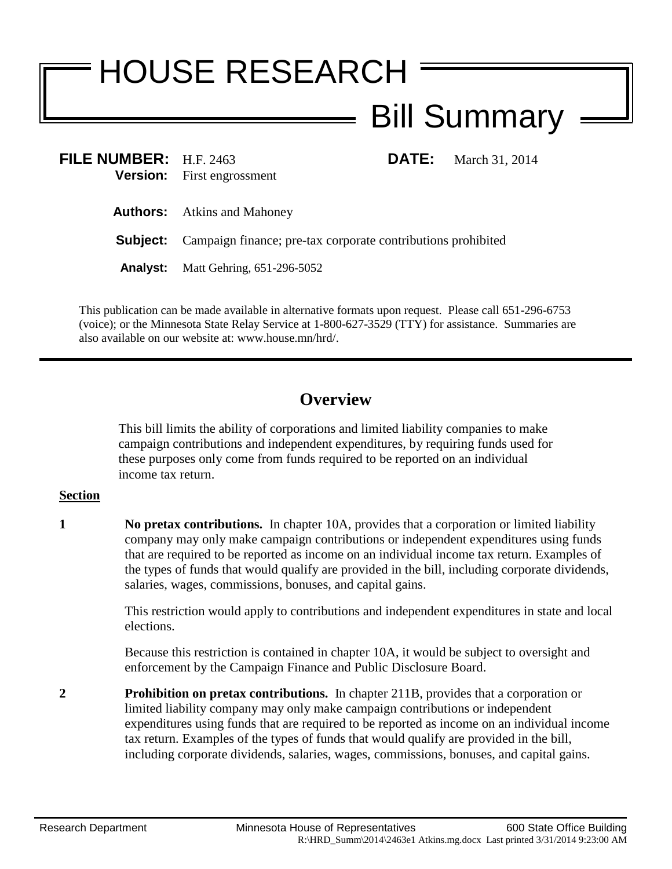## HOUSE RESEARCH Bill Summary

| FILE NUMBER: H.F. 2463 | <b>Version:</b> First engrossment                                            | <b>DATE:</b> | March 31, 2014 |
|------------------------|------------------------------------------------------------------------------|--------------|----------------|
|                        | <b>Authors:</b> Atkins and Mahoney                                           |              |                |
|                        | <b>Subject:</b> Campaign finance; pre-tax corporate contributions prohibited |              |                |
|                        | <b>Analyst:</b> Matt Gehring, 651-296-5052                                   |              |                |
|                        |                                                                              |              |                |

This publication can be made available in alternative formats upon request. Please call 651-296-6753 (voice); or the Minnesota State Relay Service at 1-800-627-3529 (TTY) for assistance. Summaries are also available on our website at: www.house.mn/hrd/.

## **Overview**

This bill limits the ability of corporations and limited liability companies to make campaign contributions and independent expenditures, by requiring funds used for these purposes only come from funds required to be reported on an individual income tax return.

## **Section**

**1 No pretax contributions.** In chapter 10A, provides that a corporation or limited liability company may only make campaign contributions or independent expenditures using funds that are required to be reported as income on an individual income tax return. Examples of the types of funds that would qualify are provided in the bill, including corporate dividends, salaries, wages, commissions, bonuses, and capital gains.

> This restriction would apply to contributions and independent expenditures in state and local elections.

Because this restriction is contained in chapter 10A, it would be subject to oversight and enforcement by the Campaign Finance and Public Disclosure Board.

**2 Prohibition on pretax contributions.** In chapter 211B, provides that a corporation or limited liability company may only make campaign contributions or independent expenditures using funds that are required to be reported as income on an individual income tax return. Examples of the types of funds that would qualify are provided in the bill, including corporate dividends, salaries, wages, commissions, bonuses, and capital gains.